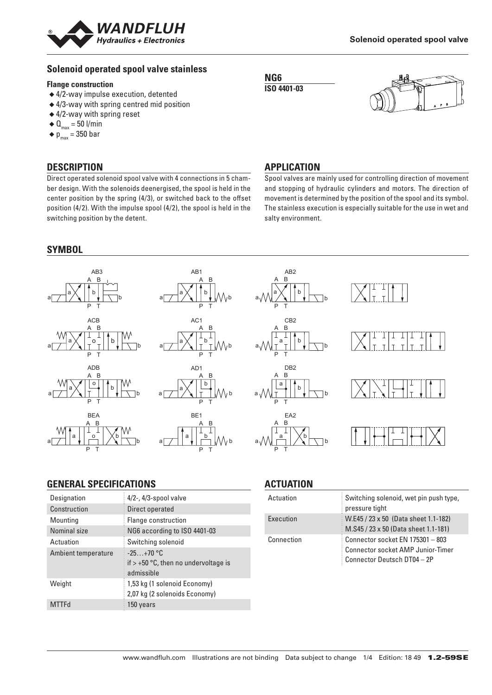

## **Solenoid operated spool valve stainless**

#### **Flange construction**

- ◆ 4/2-way impulse execution, detented
- ◆ 4/3-way with spring centred mid position
- ◆ 4/2-way with spring reset
- $\triangleleft$  Q<sub>max</sub> = 50 l/min
- $\bullet$  p<sub>max</sub> = 350 bar

## **DESCRIPTION**

Direct operated solenoid spool valve with 4 connections in 5 chamber design. With the solenoids deenergised, the spool is held in the center position by the spring (4/3), or switched back to the offset position (4/2). With the impulse spool (4/2), the spool is held in the switching position by the detent.

# **SYMBOL**

#### **APPLICATION**

**NG6 ISO 4401-03**

Spool valves are mainly used for controlling direction of movement and stopping of hydraulic cylinders and motors. The direction of movement is determined by the position of the spool and its symbol. The stainless execution is especially suitable for the use in wet and salty environment.



## **GENERAL SPECIFICATIONS**

| Designation         | $4/2$ -, $4/3$ -spool valve                                         |
|---------------------|---------------------------------------------------------------------|
| Construction        | Direct operated                                                     |
| Mounting            | Flange construction                                                 |
| Nominal size        | NG6 according to ISO 4401-03                                        |
| Actuation           | Switching solenoid                                                  |
| Ambient temperature | $-25+70$ °C<br>if $> +50$ °C, then no undervoltage is<br>admissible |
| Weight              | 1,53 kg (1 solenoid Economy)<br>2,07 kg (2 solenoids Economy)       |
| <b>MTTFd</b>        | 150 years                                                           |

## **ACTUATION**

| Actuation  | Switching solenoid, wet pin push type,<br>pressure tight                                                    |
|------------|-------------------------------------------------------------------------------------------------------------|
| Execution  | W.E45 / 23 x 50 (Data sheet 1.1-182)<br>M.S45 / 23 x 50 (Data sheet 1.1-181)                                |
| Connection | Connector socket EN 175301 - 803<br><b>Connector socket AMP Junior-Timer</b><br>Connector Deutsch DT04 - 2P |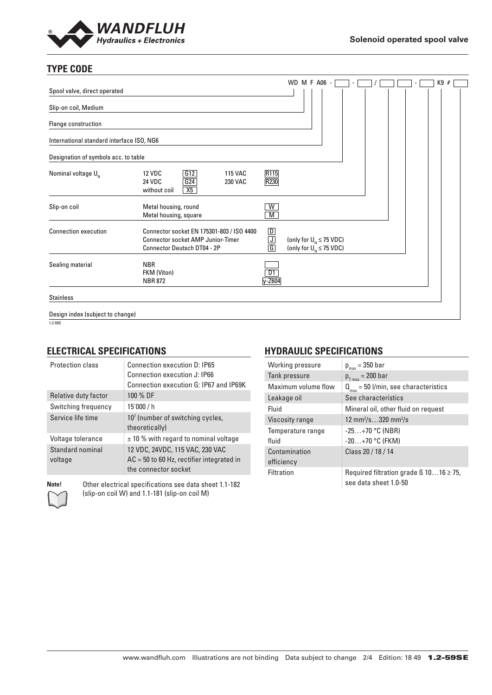

# **TYPE CODE**

|                                           |                                                                                                                             |                               | WD M F A06 -                                                  |  |  |  |  | K9# |  |
|-------------------------------------------|-----------------------------------------------------------------------------------------------------------------------------|-------------------------------|---------------------------------------------------------------|--|--|--|--|-----|--|
| Spool valve, direct operated              |                                                                                                                             |                               |                                                               |  |  |  |  |     |  |
| Slip-on coil, Medium                      |                                                                                                                             |                               |                                                               |  |  |  |  |     |  |
| Flange construction                       |                                                                                                                             |                               |                                                               |  |  |  |  |     |  |
| International standard interface ISO, NG6 |                                                                                                                             |                               |                                                               |  |  |  |  |     |  |
| Designation of symbols acc. to table      |                                                                                                                             |                               |                                                               |  |  |  |  |     |  |
| Nominal voltage $U_{N}$                   | G12<br><b>12 VDC</b><br><b>115 VAC</b><br>G24<br>24 VDC<br>230 VAC<br>X5<br>without coil                                    | R115<br>R230                  |                                                               |  |  |  |  |     |  |
| Slip-on coil                              | Metal housing, round<br>Metal housing, square                                                                               | W<br>M                        |                                                               |  |  |  |  |     |  |
| <b>Connection execution</b>               | Connector socket EN 175301-803 / ISO 4400<br><b>Connector socket AMP Junior-Timer</b><br><b>Connector Deutsch DT04 - 2P</b> | $\boxed{D}$<br>$\frac{1}{6}$  | (only for $U_{N} \leq 75$ VDC)<br>(only for $U_N \le 75$ VDC) |  |  |  |  |     |  |
| Sealing material                          | <b>NBR</b><br>FKM (Viton)<br><b>NBR 872</b>                                                                                 | $\overline{D1}$<br>$y - Z604$ |                                                               |  |  |  |  |     |  |
| <b>Stainless</b>                          |                                                                                                                             |                               |                                                               |  |  |  |  |     |  |
| Design index (subject to change)          |                                                                                                                             |                               |                                                               |  |  |  |  |     |  |
| 1.2 EGC                                   |                                                                                                                             |                               |                                                               |  |  |  |  |     |  |

#### 1.2-59S

### **ELECTRICAL SPECIFICATIONS**

| <b>Protection class</b> | Connection execution D: IP65<br>Connection execution J: IP66<br>Connection execution G: IP67 and IP69K |
|-------------------------|--------------------------------------------------------------------------------------------------------|
| Relative duty factor    | 100 % DF                                                                                               |
| Switching frequency     | 15'000/h                                                                                               |
| Service life time       | 107 (number of switching cycles,<br>theoretically)                                                     |
| Voltage tolerance       | $\pm$ 10 % with regard to nominal voltage                                                              |
| Standard nominal        | 12 VDC, 24VDC, 115 VAC, 230 VAC                                                                        |
| voltage                 | $AC = 50$ to 60 Hz, rectifier integrated in                                                            |
|                         | the connector socket                                                                                   |



**Note!** Other electrical specifications see data sheet 1.1-182 (slip-on coil W) and 1.1-181 (slip-on coil M)

## **HYDRAULIC SPECIFICATIONS**

| Working pressure            | $p_{max} = 350$ bar                                                        |
|-----------------------------|----------------------------------------------------------------------------|
| Tank pressure               | $p_{T_{max}}$ = 200 bar                                                    |
| Maximum volume flow         | $Q_{\text{max}} = 50$ l/min, see characteristics                           |
| Leakage oil                 | See characteristics                                                        |
| Fluid                       | Mineral oil, other fluid on request                                        |
| <b>Viscosity range</b>      | 12 mm <sup>2</sup> /s320 mm <sup>2</sup> /s                                |
| Temperature range<br>fluid  | $-25+70$ °C (NBR)<br>$-20+70$ °C (FKM)                                     |
| Contamination<br>efficiency | Class 20 / 18 / 14                                                         |
| Filtration                  | Required filtration grade $\beta$ 1016 $\geq$ 75,<br>see data sheet 1.0-50 |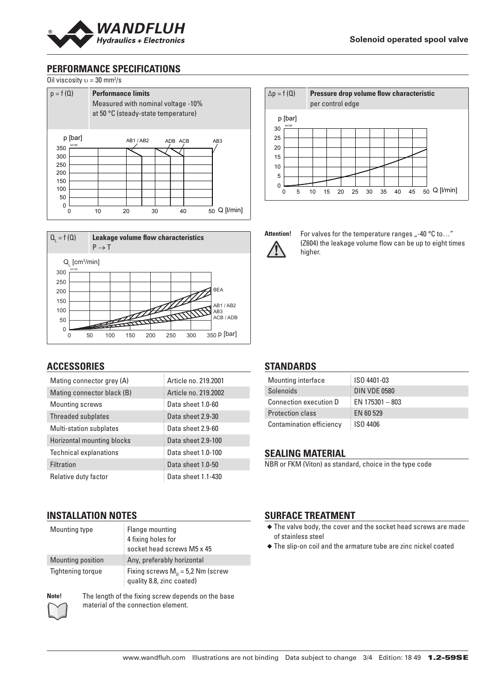

## **PERFORMANCE SPECIFICATIONS**







### **ACCESSORIES**

| Mating connector grey (A)     | Article no. 219,2001 |
|-------------------------------|----------------------|
| Mating connector black (B)    | Article no. 219,2002 |
| Mounting screws               | Data sheet 1.0-60    |
| Threaded subplates            | Data sheet 2.9-30    |
| Multi-station subplates       | Data sheet 2.9-60    |
| Horizontal mounting blocks    | Data sheet 2.9-100   |
| <b>Technical explanations</b> | Data sheet 1.0-100   |
| <b>Filtration</b>             | Data sheet 1.0-50    |
| Relative duty factor          | Data sheet 1.1-430   |

# **INSTALLATION NOTES**

| Mounting type     | Flange mounting<br>4 fixing holes for<br>socket head screws M5 x 45 |
|-------------------|---------------------------------------------------------------------|
| Mounting position | Any, preferably horizontal                                          |
| Tightening torque | Fixing screws $M_p = 5.2$ Nm (screw<br>quality 8.8, zinc coated)    |



**Note!** The length of the fixing screw depends on the base material of the connection element.





Attention! For valves for the temperature ranges ..-40 °C to..." (Z604) the leakage volume flow can be up to eight times higher.

#### **STANDARDS**

| Mounting interface            | ISO 4401-03         |
|-------------------------------|---------------------|
| Solenoids                     | <b>DIN VDE 0580</b> |
| <b>Connection execution D</b> | $E$ EN 175301 - 803 |
| <b>Protection class</b>       | EN 60 529           |
| Contamination efficiency      | <b>ISO 4406</b>     |

#### **SEALING MATERIAL**

NBR or FKM (Viton) as standard, choice in the type code

### **SURFACE TREATMENT**

- ◆ The valve body, the cover and the socket head screws are made of stainless steel
- ◆ The slip-on coil and the armature tube are zinc nickel coated